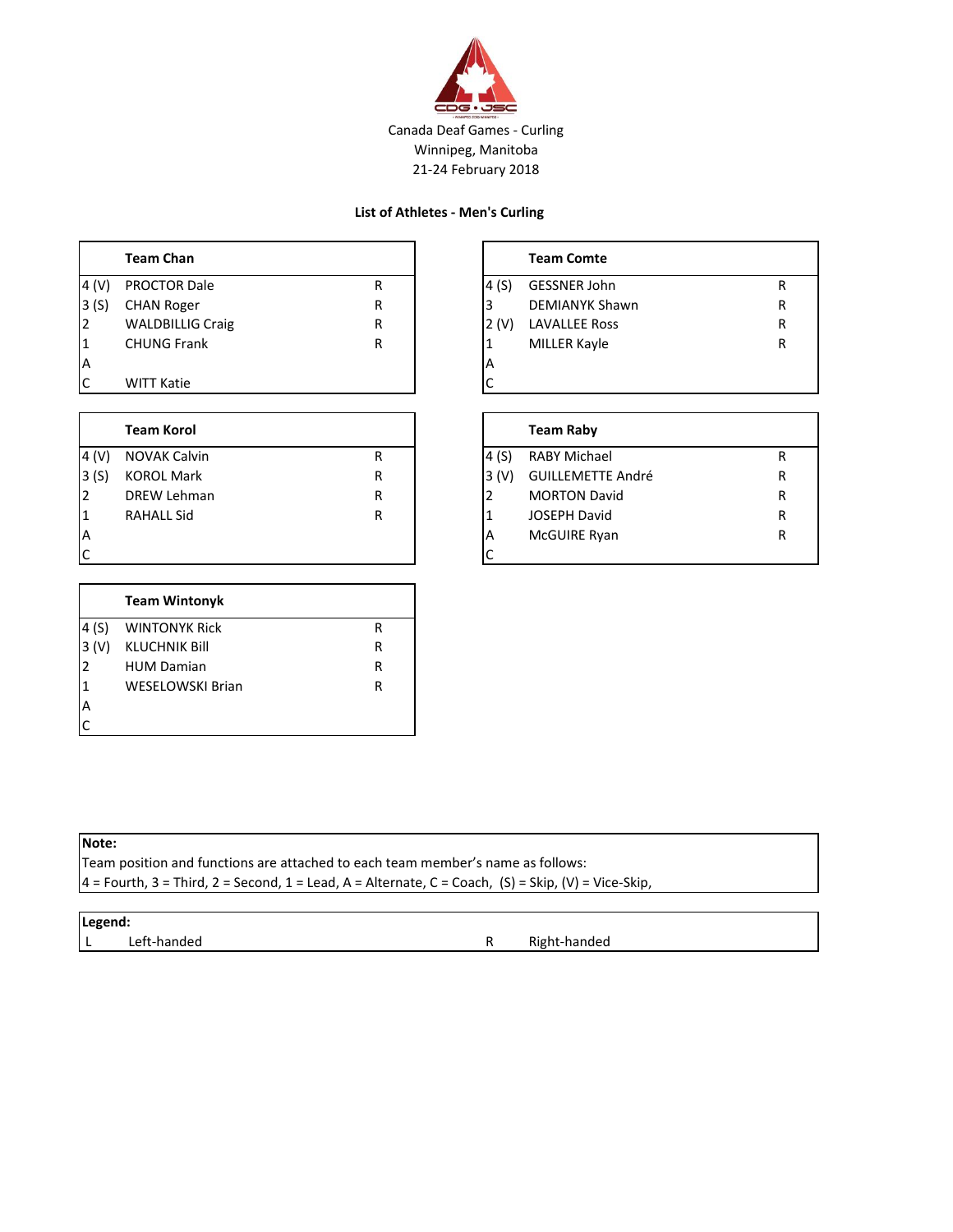

#### **List of Athletes - Men's Curling**

|           | <b>Team Chan</b>        |   |          | <b>Team Comte</b>     |   |
|-----------|-------------------------|---|----------|-----------------------|---|
| 4 (V)     | <b>PROCTOR Dale</b>     | R | 14 (S)   | GESSNER John          | R |
| 3(S)      | <b>CHAN Roger</b>       | R |          | <b>DEMIANYK Shawn</b> | R |
| I2        | <b>WALDBILLIG Craig</b> | R | 2 (V)    | <b>LAVALLEE Ross</b>  | R |
| $\vert$ 1 | <b>CHUNG Frank</b>      | R |          | MILLER Kayle          | R |
| ΙA        |                         |   | <b>A</b> |                       |   |
| C         | <b>WITT Katie</b>       |   |          |                       |   |

|       | <b>Team Korol</b>   |   |       | <b>Team Raby</b>         |   |
|-------|---------------------|---|-------|--------------------------|---|
| 4 (V) | <b>NOVAK Calvin</b> | R | 4 (S) | <b>RABY Michael</b>      | R |
| 3(S)  | <b>KOROL Mark</b>   | R | 3 (V) | <b>GUILLEMETTE André</b> | R |
|       | DREW Lehman         | R |       | <b>MORTON David</b>      | R |
|       | <b>RAHALL Sid</b>   | R |       | <b>JOSEPH David</b>      | R |
| ΙA    |                     |   | А     | McGUIRE Ryan             | R |
| C     |                     |   | Ć     |                          |   |

|                | <b>Team Wintonyk</b>    |   |
|----------------|-------------------------|---|
| 4(S)           | <b>WINTONYK Rick</b>    | R |
| 3(V)           | <b>KLUCHNIK Bill</b>    | R |
| l2             | <b>HUM Damian</b>       | R |
| I1             | <b>WESELOWSKI Brian</b> | R |
| $\overline{A}$ |                         |   |
| IC.            |                         |   |

|       | <b>Team Comte</b>     |   |
|-------|-----------------------|---|
| 4 (S) | GESSNER John          | R |
| 3     | <b>DEMIANYK Shawn</b> | R |
| 2 (V) | <b>LAVALLEE Ross</b>  | R |
| 1     | MILLER Kayle          | R |
| A     |                       |   |
|       |                       |   |

|               | <b>Team Raby</b>         |   |
|---------------|--------------------------|---|
| 4 (S)         | RABY Michael             | R |
| 3 (V)         | <b>GUILLEMETTE André</b> | R |
| $\mathcal{P}$ | <b>MORTON David</b>      | R |
| $\mathbf{1}$  | <b>JOSEPH David</b>      | R |
| A             | McGUIRE Ryan             | R |
|               |                          |   |

|  | ×<br>٠<br>۰.<br>٧ | ۰, |
|--|-------------------|----|
|  |                   |    |

Team position and functions are attached to each team member's name as follows:

 $4$  = Fourth, 3 = Third, 2 = Second, 1 = Lead, A = Alternate, C = Coach, (S) = Skip, (V) = Vice-Skip,

#### **Legend:**

L Left-handed **R** Right-handed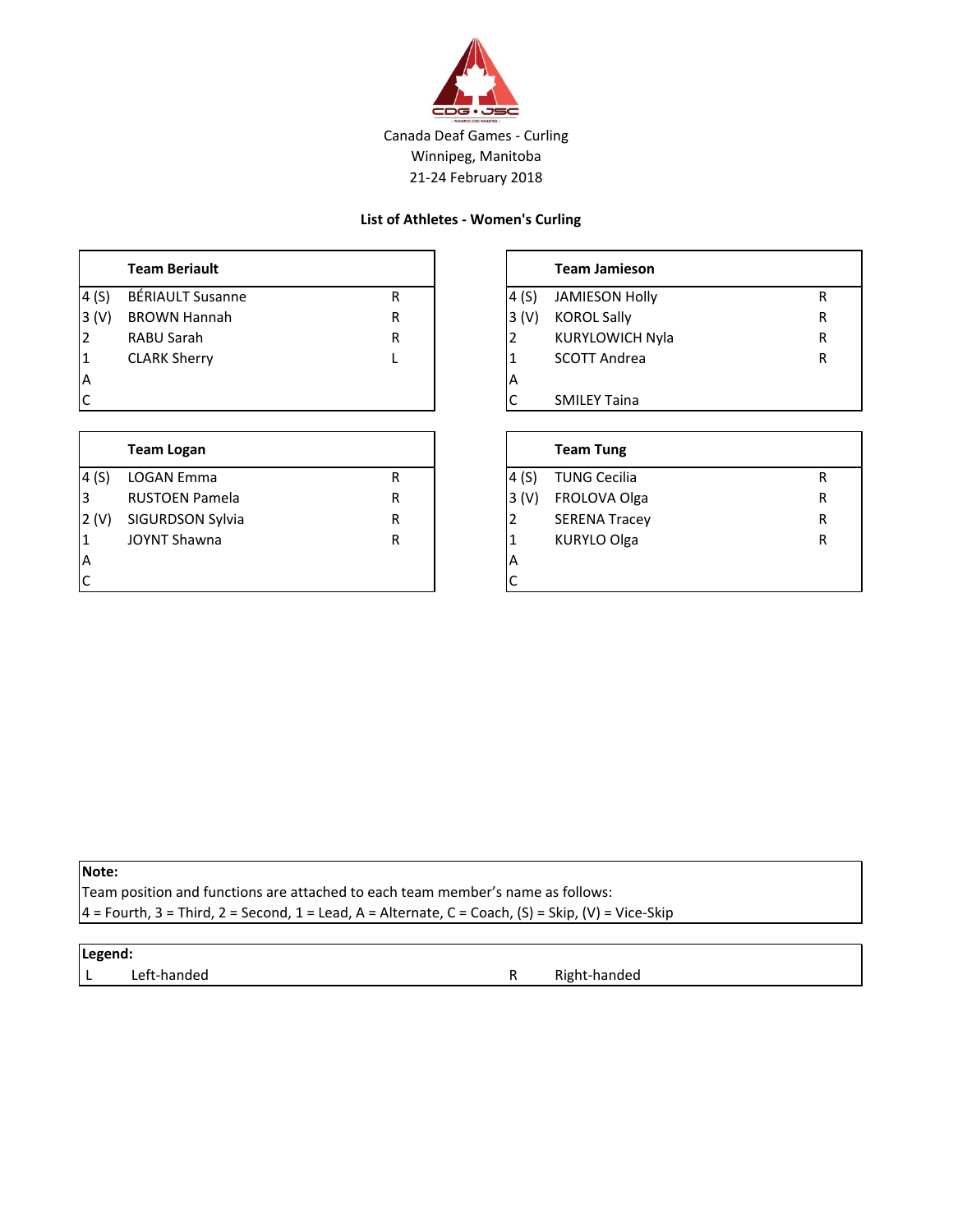

#### **List of Athletes - Women's Curling**

|      | <b>Team Beriault</b>    |   |       | <b>Team Jamieson</b>   |  |
|------|-------------------------|---|-------|------------------------|--|
| 4(S) | <b>BÉRIAULT Susanne</b> | R | 4 (S) | <b>JAMIESON Holly</b>  |  |
| 3(V) | <b>BROWN Hannah</b>     | R | 3 (V) | <b>KOROL Sally</b>     |  |
| l2   | RABU Sarah              | R |       | <b>KURYLOWICH Nyla</b> |  |
| 1    | <b>CLARK Sherry</b>     |   |       | <b>SCOTT Andrea</b>    |  |
| İΑ   |                         |   | IА    |                        |  |
| Iс   |                         |   |       | <b>SMILEY Taina</b>    |  |

|      | <b>Team Logan</b>     |   |                         | <b>Team Tung</b>     |   |
|------|-----------------------|---|-------------------------|----------------------|---|
| 4(S) | LOGAN Emma            | R | 14 (S)                  | <b>TUNG Cecilia</b>  | R |
| l3   | <b>RUSTOEN Pamela</b> | R | 3 (V)                   | FROLOVA Olga         | R |
| 2(V) | SIGURDSON Sylvia      | R |                         | <b>SERENA Tracey</b> | R |
| 1    | <b>JOYNT Shawna</b>   | R |                         | <b>KURYLO Olga</b>   | R |
| IΑ   |                       |   | $\overline{\mathsf{A}}$ |                      |   |
| IC   |                       |   |                         |                      |   |

|              | <b>Team Jamieson</b>   |   |
|--------------|------------------------|---|
| 4(S)         | <b>JAMIESON Holly</b>  | R |
| 3(V)         | <b>KOROL Sally</b>     | R |
| 2            | <b>KURYLOWICH Nyla</b> | R |
| 1            | <b>SCOTT Andrea</b>    | R |
| A            |                        |   |
| $\mathsf{C}$ | <b>SMILEY Taina</b>    |   |

|                  | <b>Team Tung</b>     |   |
|------------------|----------------------|---|
| 4(S)             | <b>TUNG Cecilia</b>  | R |
| 3 <sup>(V)</sup> | FROLOVA Olga         | R |
| l2               | <b>SERENA Tracey</b> | R |
| 1                | <b>KURYLO Olga</b>   | R |
| A                |                      |   |
| IC               |                      |   |

### **Note:**

Team position and functions are attached to each team member's name as follows:

 $4$  = Fourth, 3 = Third, 2 = Second, 1 = Lead, A = Alternate, C = Coach, (S) = Skip, (V) = Vice-Skip

### **Legend:**

L Left-handed **R** Right-handed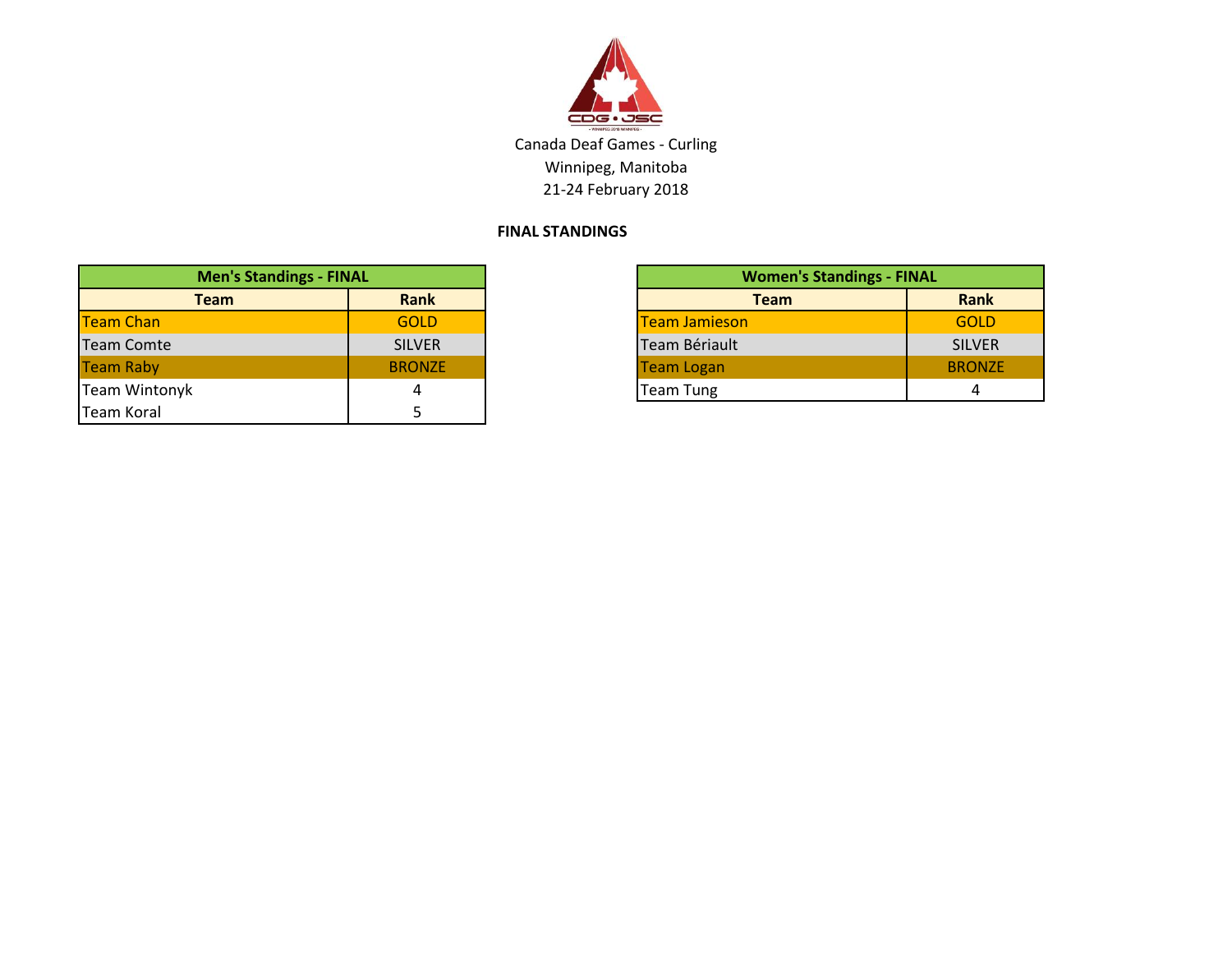

## **FINAL STANDINGS**

| <b>Men's Standings - FINAL</b> |               |  |
|--------------------------------|---------------|--|
| <b>Team</b>                    | <b>Rank</b>   |  |
| <b>Team Chan</b>               | <b>GOLD</b>   |  |
| <b>Team Comte</b>              | <b>SILVER</b> |  |
| <b>Team Raby</b>               | <b>BRONZE</b> |  |
| <b>Team Wintonyk</b>           | 4             |  |
| Team Koral                     |               |  |

| <b>Men's Standings - FINAL</b> |               |                      | <b>Women's Standings - FINAL</b> |  |  |
|--------------------------------|---------------|----------------------|----------------------------------|--|--|
| <b>Team</b>                    | Rank          | <b>Team</b>          | Rank                             |  |  |
|                                | <b>GOLD</b>   | <b>Team Jamieson</b> | <b>GOLD</b>                      |  |  |
|                                | <b>SILVER</b> | Team Bériault        | <b>SILVER</b>                    |  |  |
|                                | <b>BRONZE</b> | Team Logan           | <b>BRONZE</b>                    |  |  |
|                                |               | <b>Team Tung</b>     | 4                                |  |  |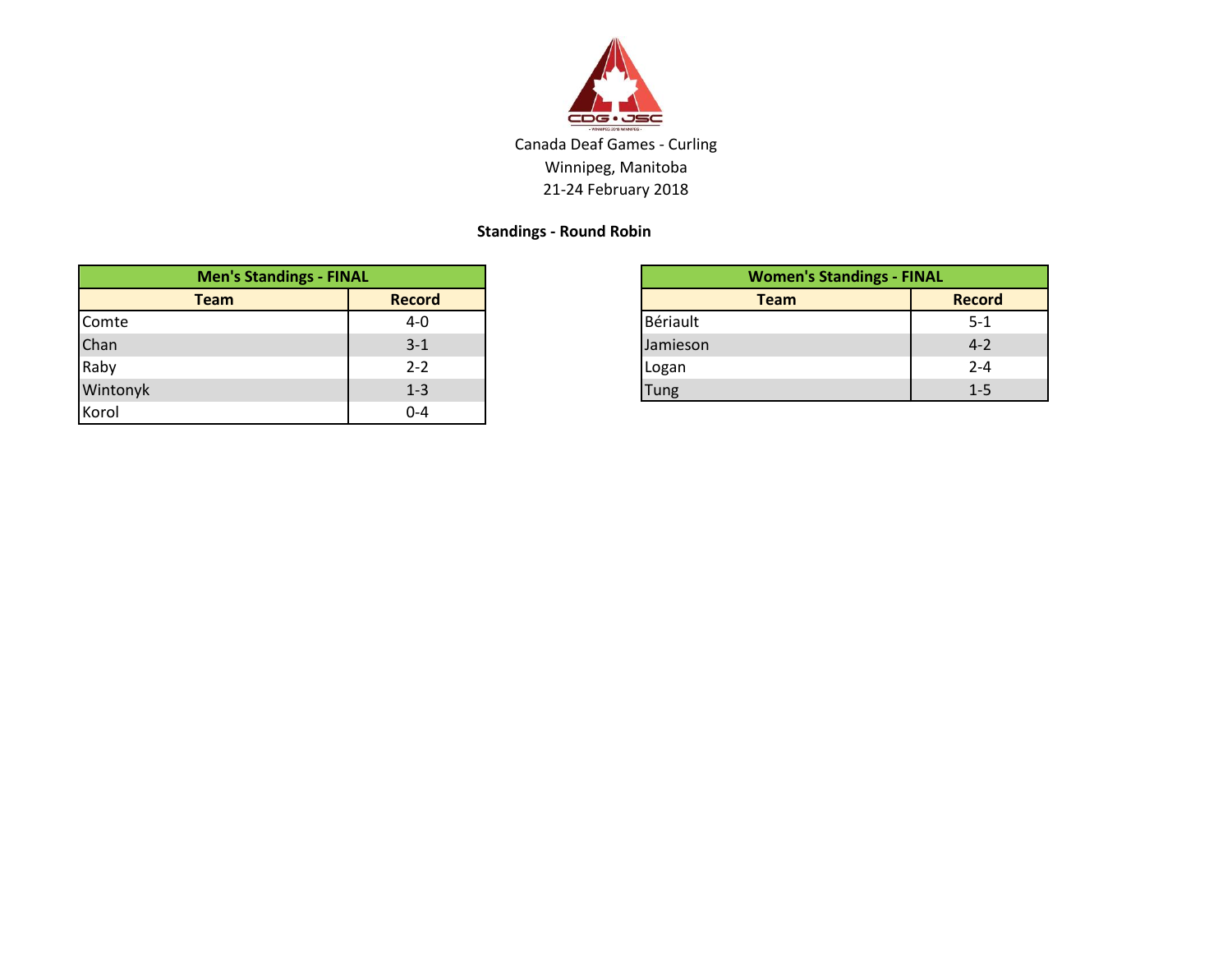

## **Standings - Round Robin**

| <b>Men's Standings - FINAL</b> |               |
|--------------------------------|---------------|
| <b>Team</b>                    | <b>Record</b> |
| Comte                          | 4-0           |
| Chan                           | $3 - 1$       |
| Raby                           | $2 - 2$       |
| Wintonyk                       | $1 - 3$       |
| Korol                          | $0-4$         |

| <b>Men's Standings - FINAL</b> |               | <b>Women's Standings - FINAL</b> |               |
|--------------------------------|---------------|----------------------------------|---------------|
| <b>Team</b>                    | <b>Record</b> | <b>Team</b>                      | <b>Record</b> |
|                                | $4 - 0$       | Bériault                         | $5 - 1$       |
|                                | $3 - 1$       | Jamieson                         | $4 - 2$       |
|                                | $2 - 2$       | Logan                            | $2 - 4$       |
|                                | $1 - 3$       | Tung                             | $1 - 5$       |
|                                | __            |                                  |               |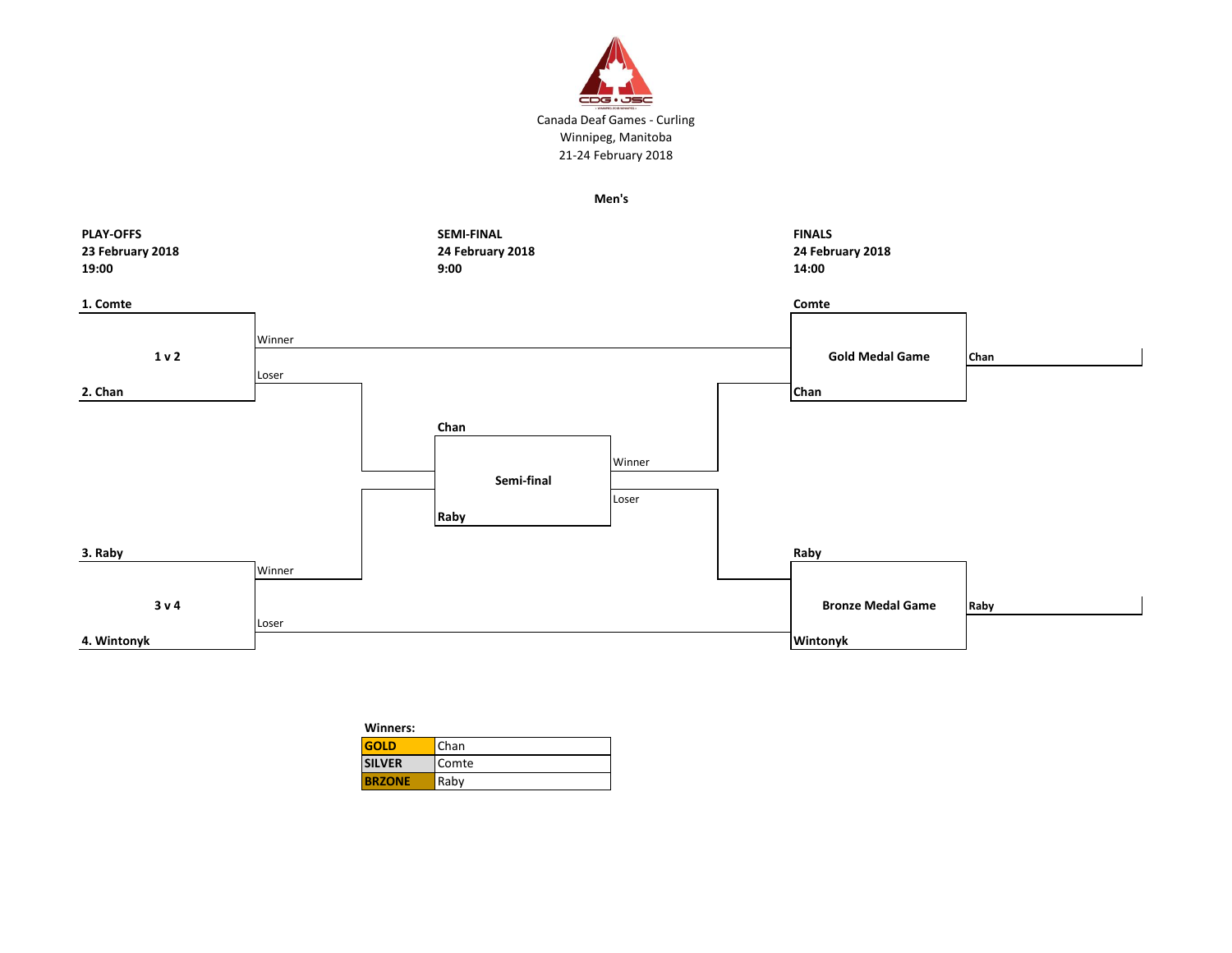

**Men's**



| Winners:      |       |
|---------------|-------|
| <b>GOLD</b>   | Chan  |
| <b>SILVER</b> | Comte |
| <b>BRZONE</b> | Raby  |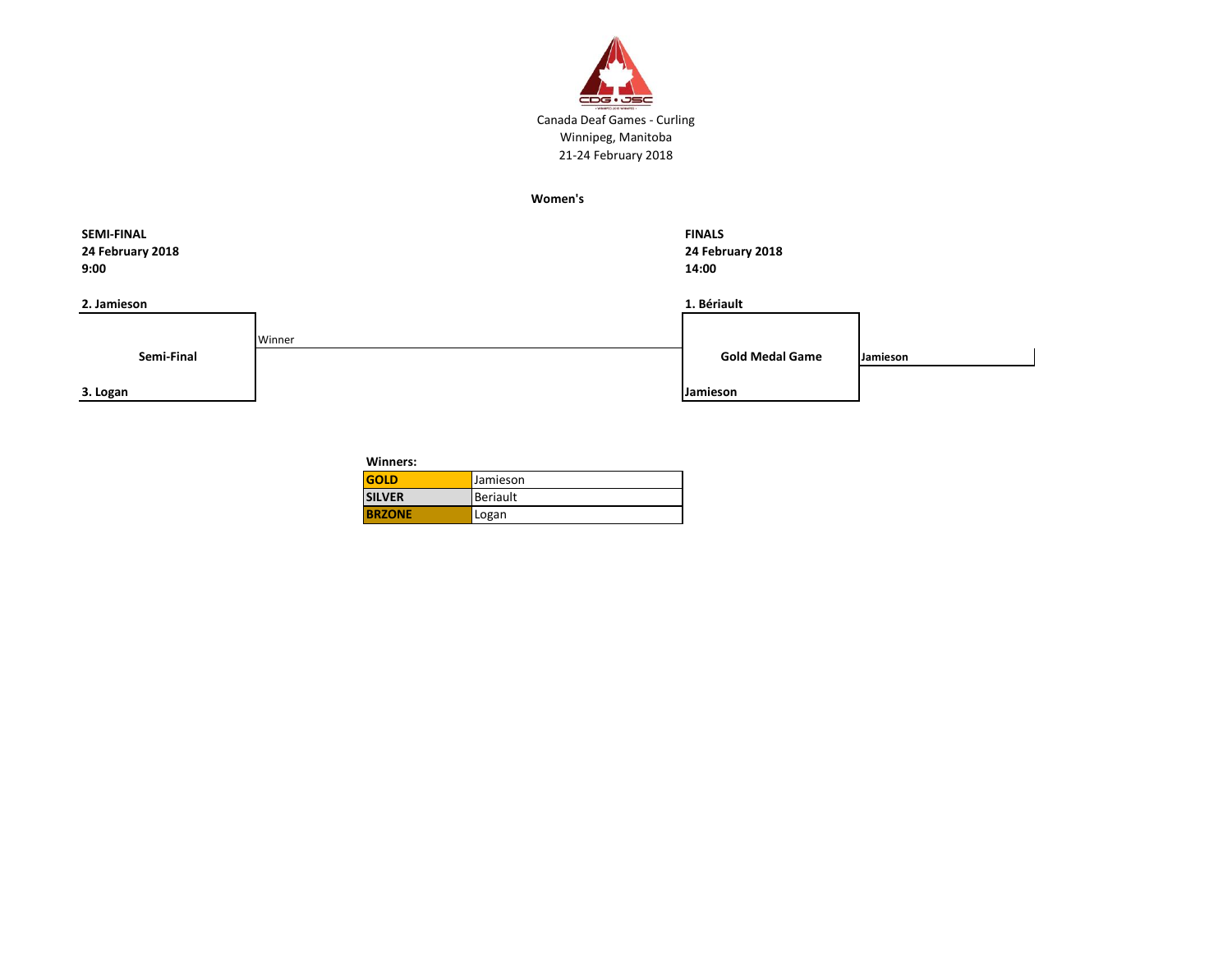

**Women's**

| <b>SEMI-FINAL</b><br>24 February 2018<br>9:00 |        | <b>FINALS</b><br>24 February 2018<br>14:00 |          |
|-----------------------------------------------|--------|--------------------------------------------|----------|
| 2. Jamieson                                   |        | 1. Bériault                                |          |
| Semi-Final                                    | Winner | <b>Gold Medal Game</b>                     | Jamieson |
| 3. Logan                                      |        | Jamieson                                   |          |

**Winners:** 

| <b>GOLD</b>   | <b>Jamieson</b> |
|---------------|-----------------|
| <b>SILVER</b> | <b>Beriault</b> |
| <b>BRZONE</b> | Logan           |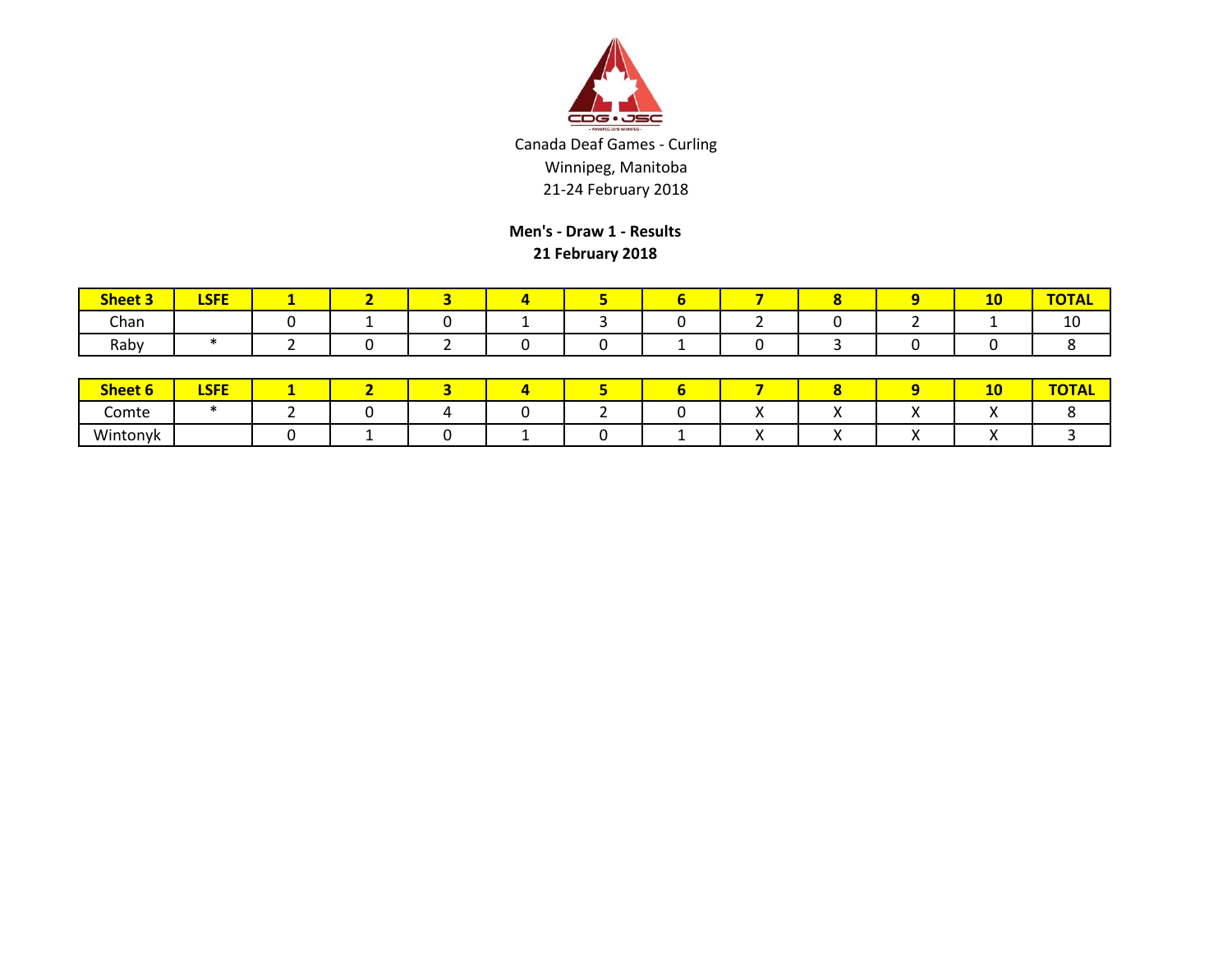

**Men's - Draw 1 - Results 21 February 2018**

| <b>Sheet 3</b> | CEE<br>-- |  |  |  |  | <b>MA</b><br>-- | $\sim$ $\sim$ $\sim$ $\sim$ $\sim$ |
|----------------|-----------|--|--|--|--|-----------------|------------------------------------|
| Chan           |           |  |  |  |  |                 | 10                                 |
| Raby           |           |  |  |  |  |                 |                                    |

| Sheet 6  | <b>CEE</b><br>ᄓᇆ |  |  |  |  | 10 | $T^{\sim}$ |
|----------|------------------|--|--|--|--|----|------------|
| Comte    |                  |  |  |  |  |    |            |
| Wintonyk |                  |  |  |  |  |    |            |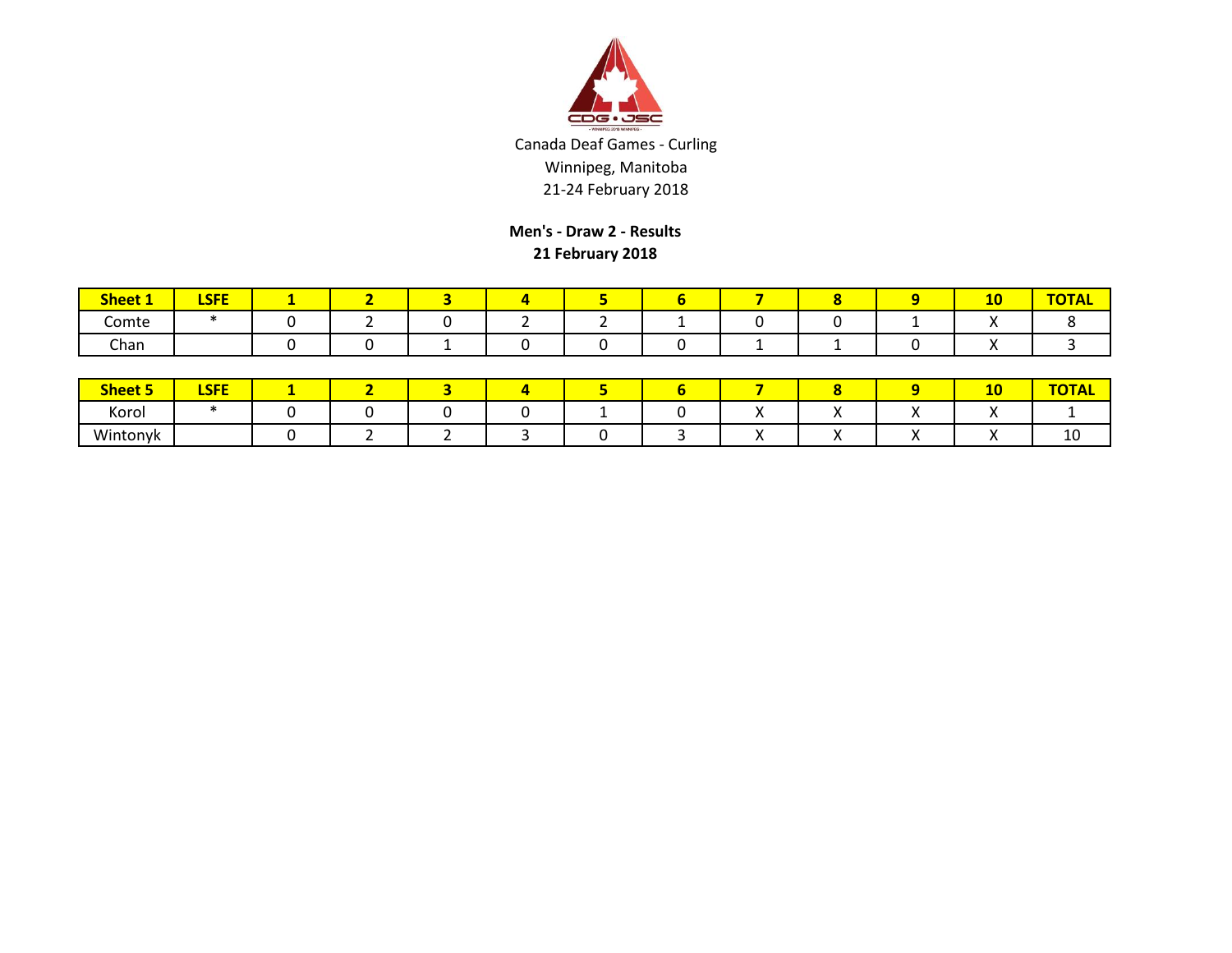

**Men's - Draw 2 - Results 21 February 2018**

| <b>Sheet 1</b> | LCEE<br><u>LJГE</u> |  |  |  |  | 10 | $- - - -$<br>HUIAL. |
|----------------|---------------------|--|--|--|--|----|---------------------|
| -<br>Comte     |                     |  |  |  |  |    |                     |
| Chan           |                     |  |  |  |  |    |                     |

| <b>Sheet 5</b> | <b>LSFE</b> |  |  |  |  | 4V       |         |
|----------------|-------------|--|--|--|--|----------|---------|
| Korol          |             |  |  |  |  | $\cdots$ |         |
| Wintonyk       |             |  |  |  |  |          | -<br>⊥∪ |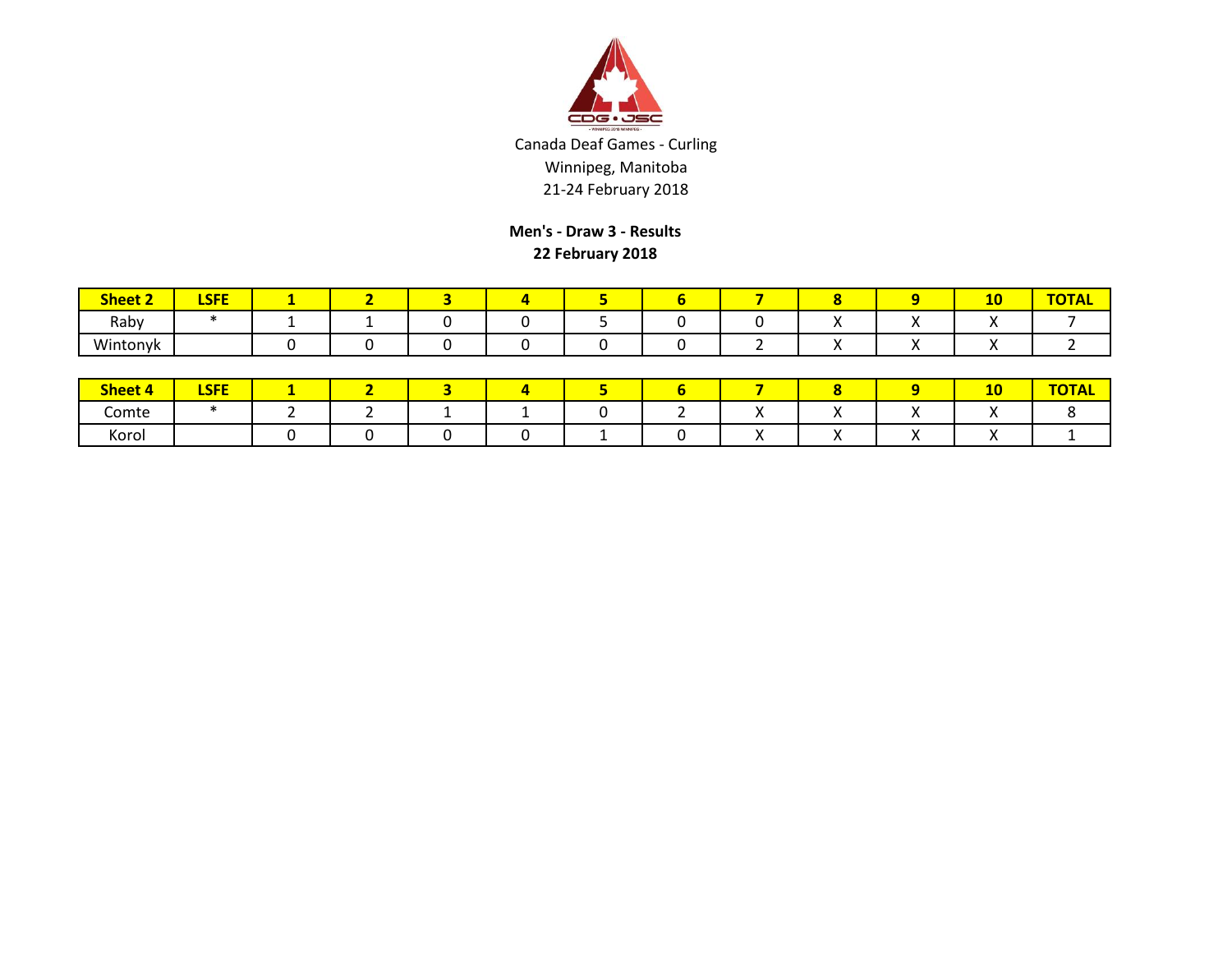

**Men's - Draw 3 - Results 22 February 2018**

| <b>Sheet 2</b> | <b>CEE</b><br>LJГE |  |  |  |  | 10 | $T^*$<br>"UIAL |
|----------------|--------------------|--|--|--|--|----|----------------|
| Raby           |                    |  |  |  |  |    |                |
| Wintonyk       |                    |  |  |  |  |    |                |

| Sheet 4 | <b>LSFE</b> |  |  |  |  | ЖV |  |
|---------|-------------|--|--|--|--|----|--|
| Comte   |             |  |  |  |  |    |  |
| Korol   |             |  |  |  |  |    |  |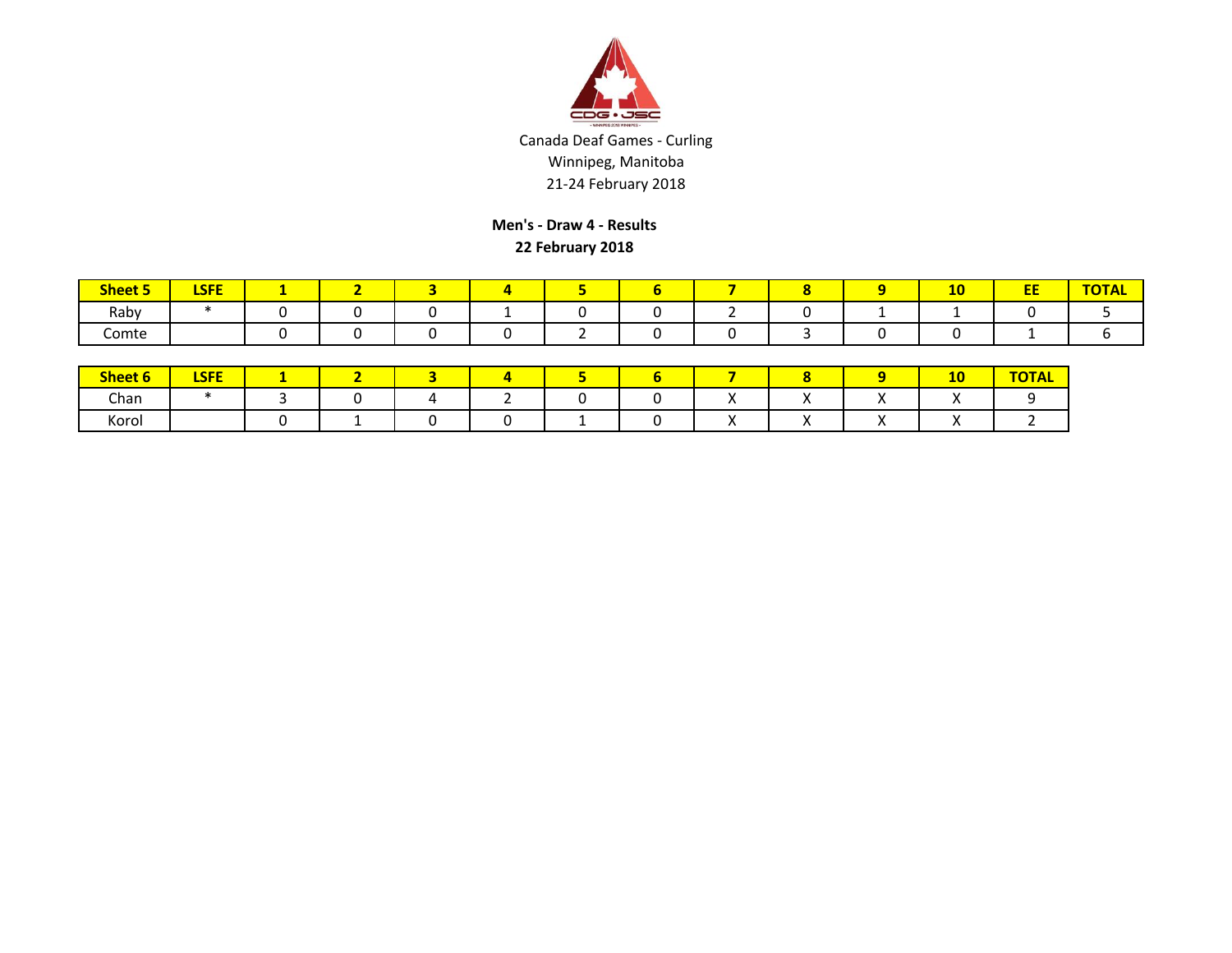

**Men's - Draw 4 - Results 22 February 2018**

| <b>Sheet 5</b> | $-$<br>≁⊃F |  |  |  |  | $-$<br>-- | --<br>-- | $- - - - -$ |
|----------------|------------|--|--|--|--|-----------|----------|-------------|
| Raby           |            |  |  |  |  |           |          |             |
| Comte          |            |  |  |  |  |           |          |             |

| Sheet 6 | <b>LSFE</b> | - |  |  |  |  | 10<br>-- | <b>TOTAL</b><br><u>UINL</u> |
|---------|-------------|---|--|--|--|--|----------|-----------------------------|
| Chan    |             |   |  |  |  |  | $\cdots$ |                             |
| Korol   |             |   |  |  |  |  |          |                             |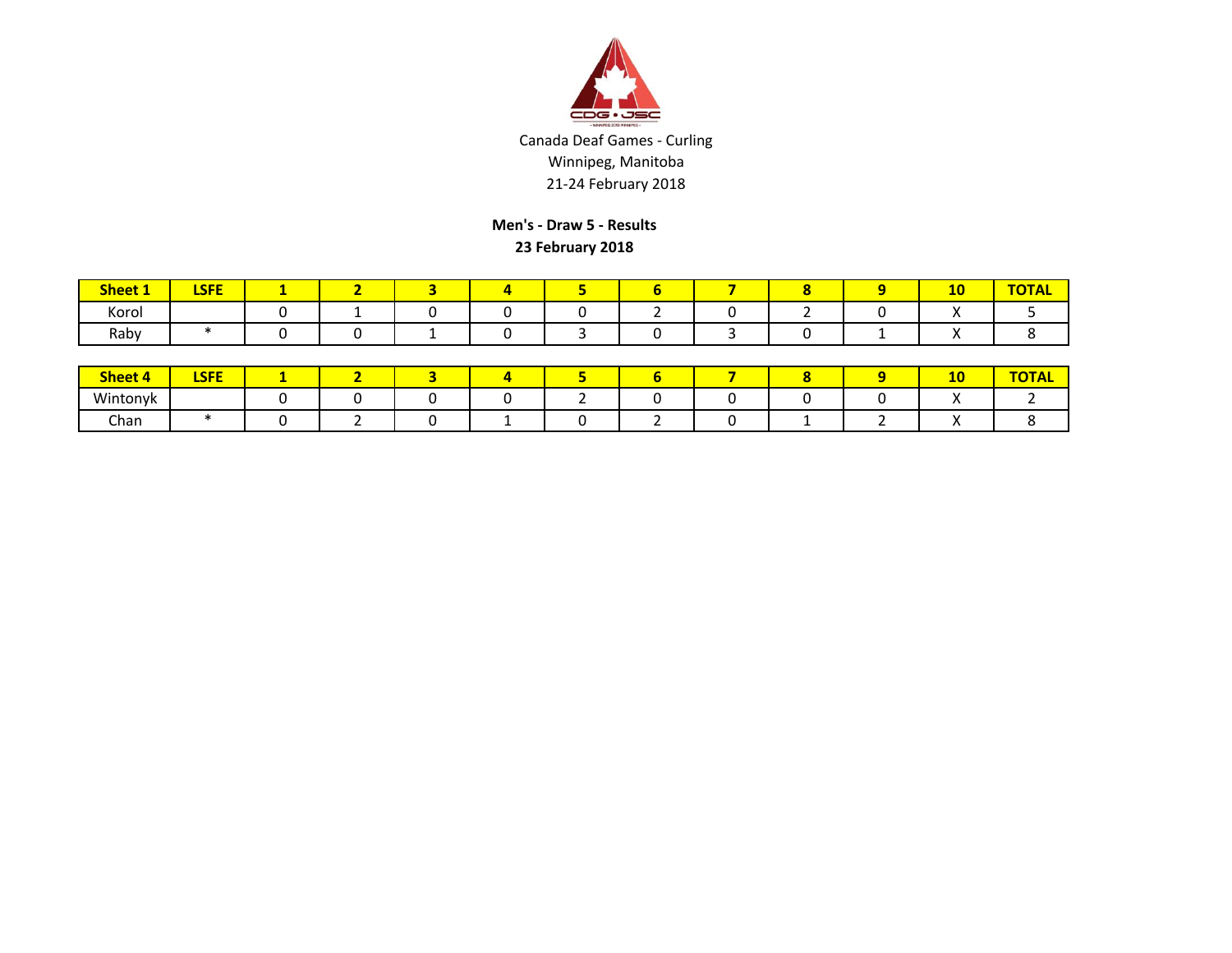

**Men's - Draw 5 - Results 23 February 2018**

| $Sh$<br>———————— | <b>CEE</b><br>--- |  |  |  |  | -- |  |
|------------------|-------------------|--|--|--|--|----|--|
| Korol            |                   |  |  |  |  |    |  |
| Raby             |                   |  |  |  |  |    |  |

| <b>Sheet 4</b> | <b>LSFE</b> |  |  |  |  | $\overline{a}$<br>-- | <b>TOTAL</b><br>UIAL |
|----------------|-------------|--|--|--|--|----------------------|----------------------|
| Wintonyk       |             |  |  |  |  |                      |                      |
| Chan           |             |  |  |  |  |                      |                      |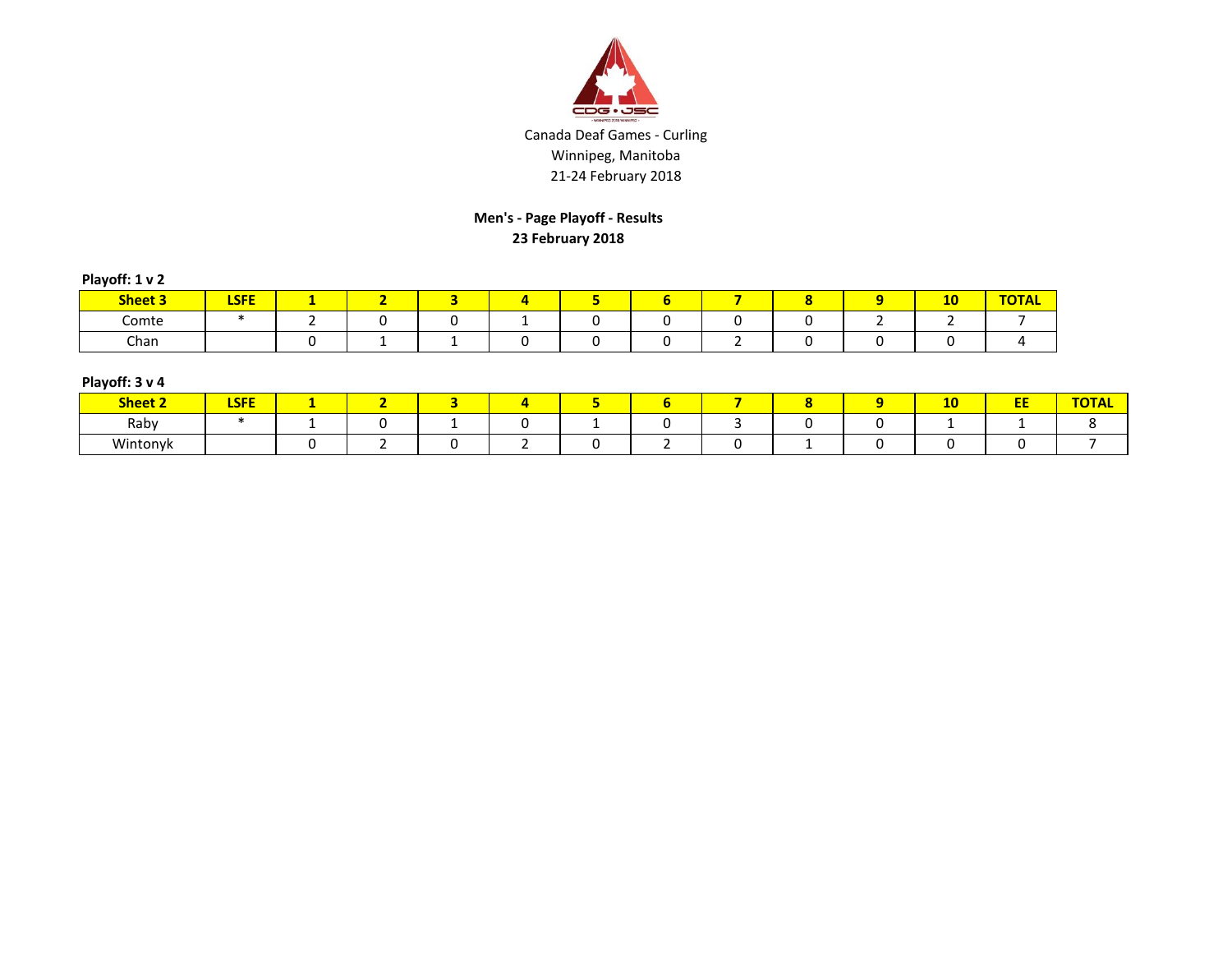

## **Men's - Page Playoff - Results 23 February 2018**

| Playoff: 1 v 2 |  |  |  |
|----------------|--|--|--|
|----------------|--|--|--|

| <b>Sheet 3</b> | LCEE<br>вэге |  |  |  |  | <b>10</b> | $T = 1$<br><b>UIAL</b> |
|----------------|--------------|--|--|--|--|-----------|------------------------|
| Comte          |              |  |  |  |  |           |                        |
| Chan           |              |  |  |  |  |           |                        |

| Playoff: 3 v 4 |  |  |  |  |
|----------------|--|--|--|--|
|----------------|--|--|--|--|

| <b>Sheet 2</b> | <b>LSFE</b> |  |  |  |  | $\overline{a}$<br>10 | -- | <b>TOTA</b> |
|----------------|-------------|--|--|--|--|----------------------|----|-------------|
| Raby           |             |  |  |  |  |                      |    |             |
| Wintonyk       |             |  |  |  |  |                      |    |             |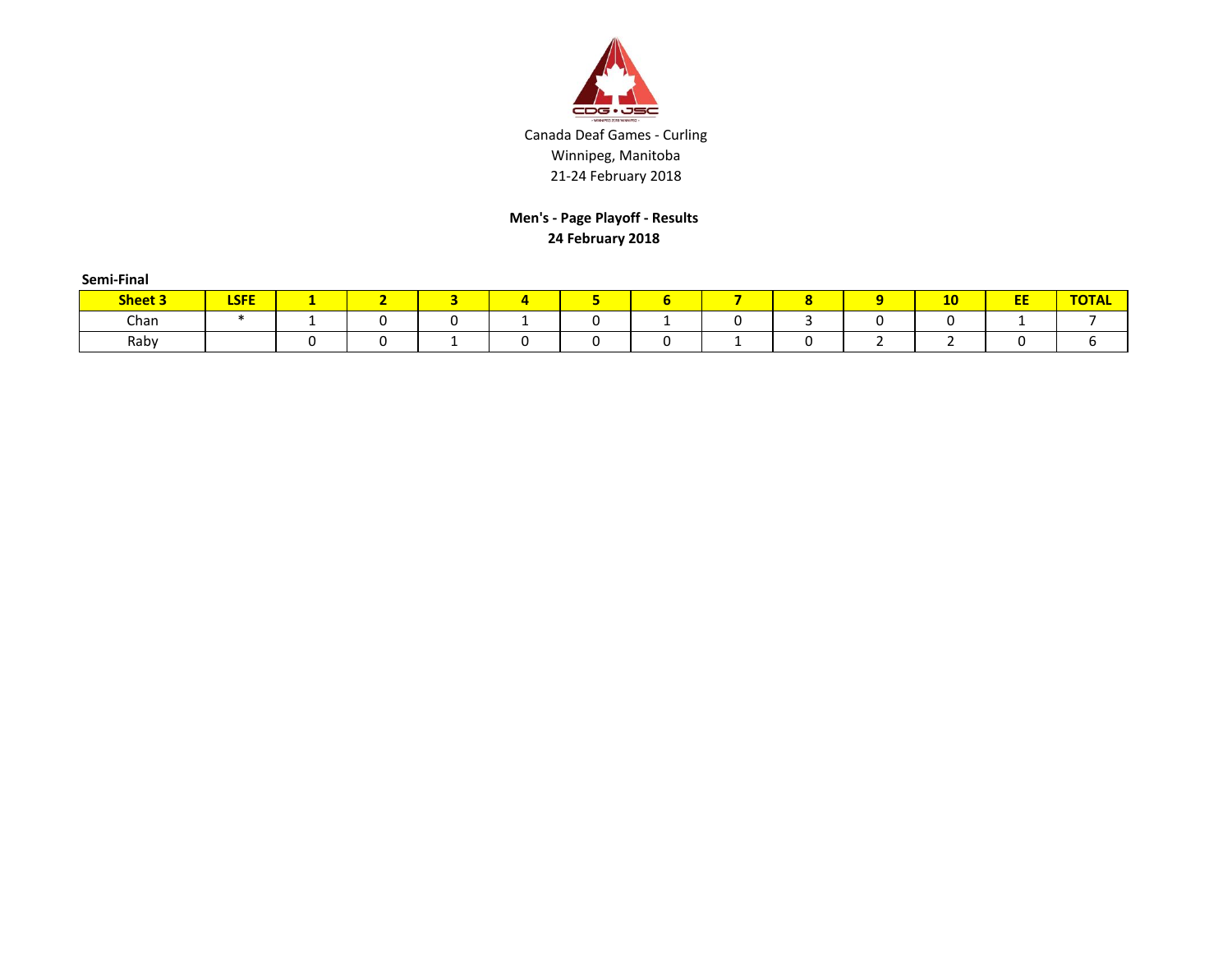

**Men's - Page Playoff - Results 24 February 2018**

| Semi-Final     |             |   |   |    |  |                |    |    |              |
|----------------|-------------|---|---|----|--|----------------|----|----|--------------|
| <b>Sheet 3</b> | <b>LSFE</b> |   |   | д. |  | $\bullet$<br>o | 10 | EE | <b>TOTAL</b> |
| Chan           |             | - | u |    |  |                |    |    |              |
| Raby           |             |   |   |    |  |                |    |    |              |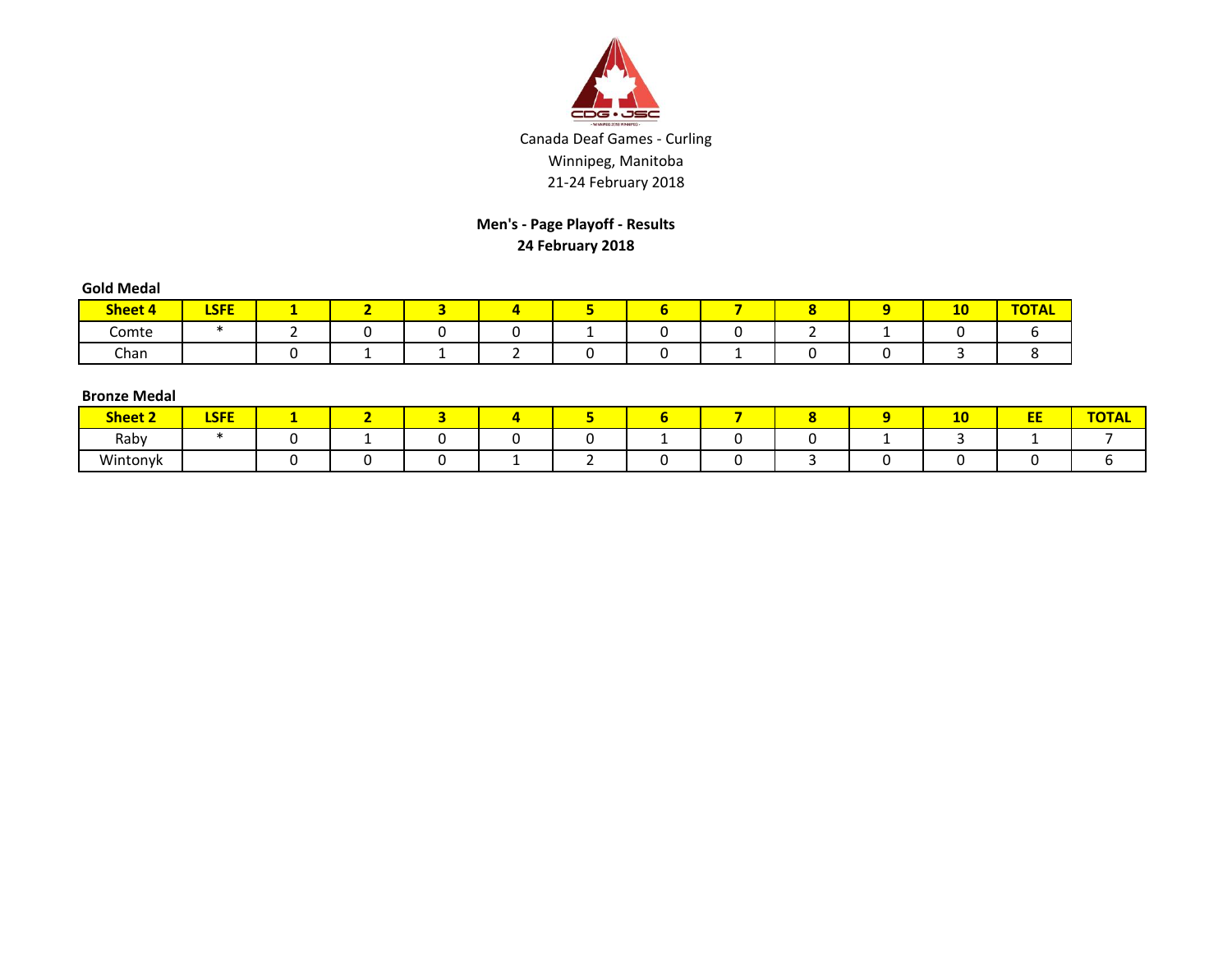

# **Men's - Page Playoff - Results 24 February 2018**

| <b>Gold Medal</b> |             |     |     |  |     |   |   |    |              |
|-------------------|-------------|-----|-----|--|-----|---|---|----|--------------|
| <b>Sheet 4</b>    | <b>LSFE</b> | . . | . . |  | . . |   |   | 10 | <b>TOTAL</b> |
| Comte             |             |     |     |  |     |   | _ |    |              |
| Chan              |             |     |     |  |     | - |   |    |              |

#### **Bronze Medal**

| -------------- |             |  |  |  |  |    |             |              |
|----------------|-------------|--|--|--|--|----|-------------|--------------|
| <b>Sheet 2</b> | <b>LSFE</b> |  |  |  |  | -- | $- -$<br>-- | <b>TOTAL</b> |
| Raby           |             |  |  |  |  |    |             |              |
| Wintonyk       |             |  |  |  |  |    |             |              |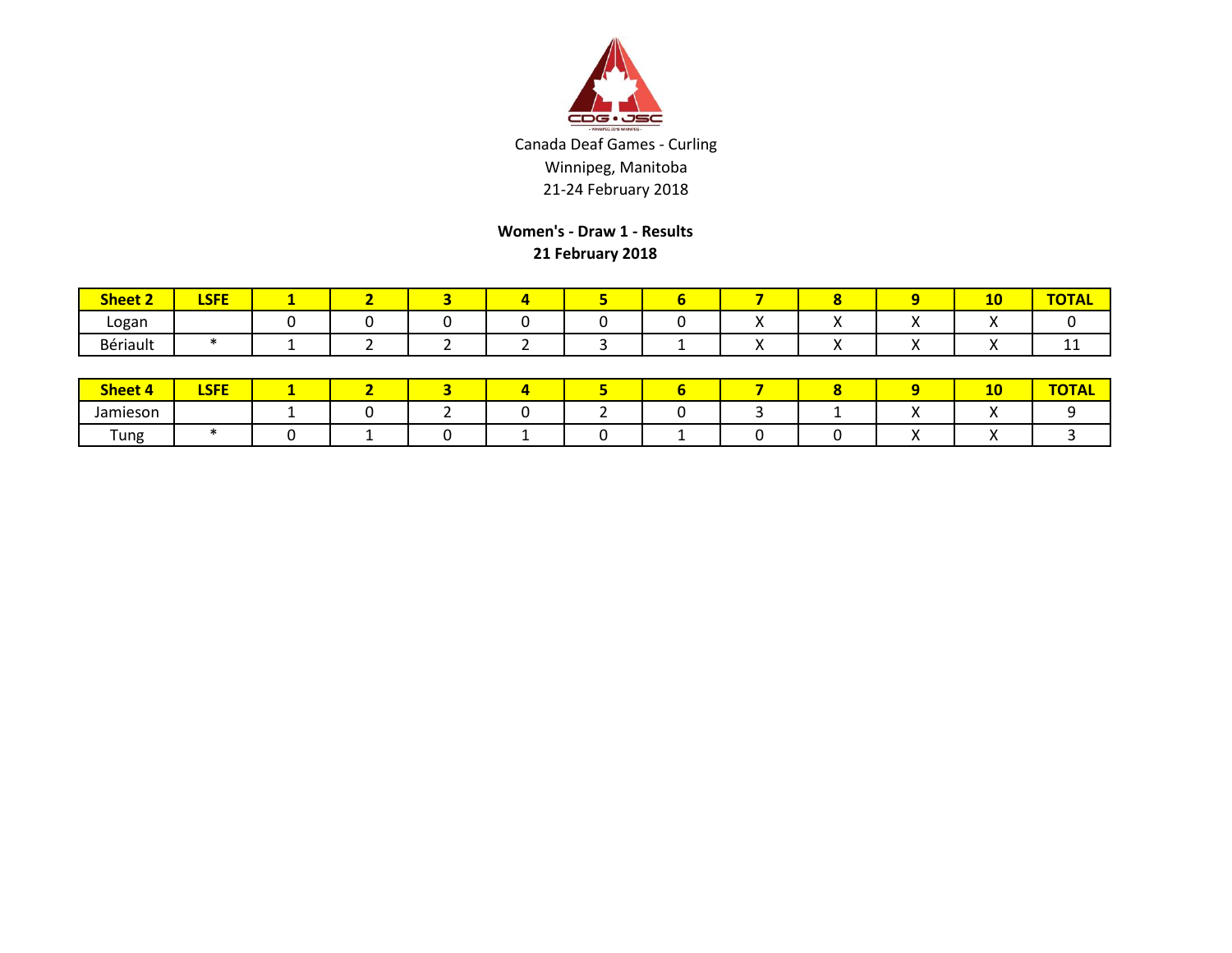

**Women's - Draw 1 - Results 21 February 2018**

| <b>Sheet 2</b> | <b>LSFE</b> |  |  |  |  | 10  | <b>TOTAL</b> |
|----------------|-------------|--|--|--|--|-----|--------------|
| Logan          |             |  |  |  |  |     |              |
| Bériault       |             |  |  |  |  | . . | . .          |

| <b>Sheet 4</b> | <b>CEE</b><br>ᄓᇆ |  |  |  |  | . .<br>10 | $-2 - 1$ |
|----------------|------------------|--|--|--|--|-----------|----------|
| Jamieson       |                  |  |  |  |  |           |          |
| Tung           |                  |  |  |  |  |           |          |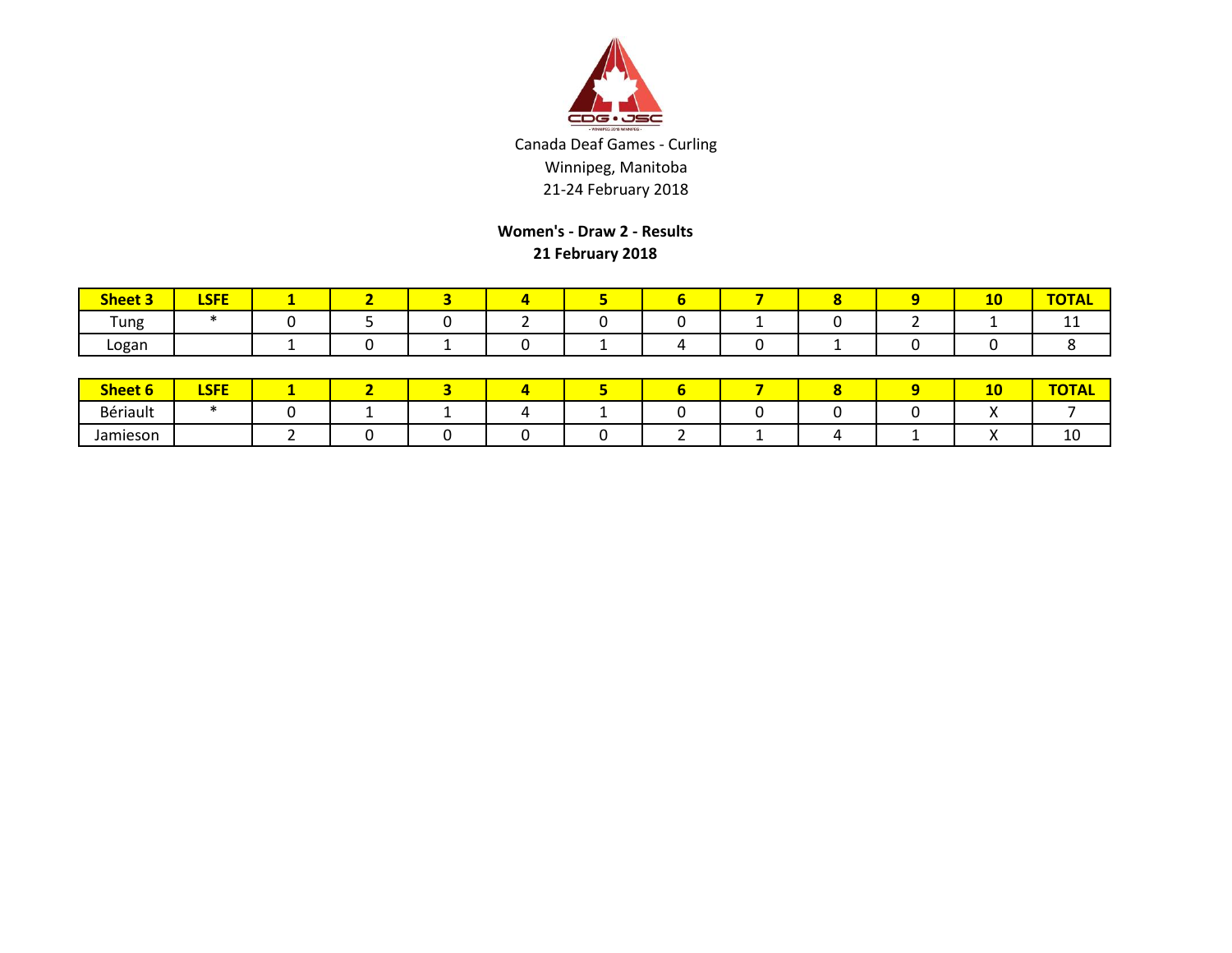

**Women's - Draw 2 - Results 21 February 2018**

| <b>Sheet 3</b> | 1.000<br>БЭГЕ |  |  |  |  | $\overline{a}$<br>-- | $ -$<br>$ -$<br>HUIAL. |
|----------------|---------------|--|--|--|--|----------------------|------------------------|
| Tung           |               |  |  |  |  |                      | --                     |
| Logan          |               |  |  |  |  |                      |                        |

| <b>Sheet 6</b> | <b>CEE</b><br>-- |  |  |  |  | -- | $\overline{\phantom{a}}$ |
|----------------|------------------|--|--|--|--|----|--------------------------|
| Bériault       |                  |  |  |  |  |    |                          |
| Jamieson       |                  |  |  |  |  |    | ⊥∪                       |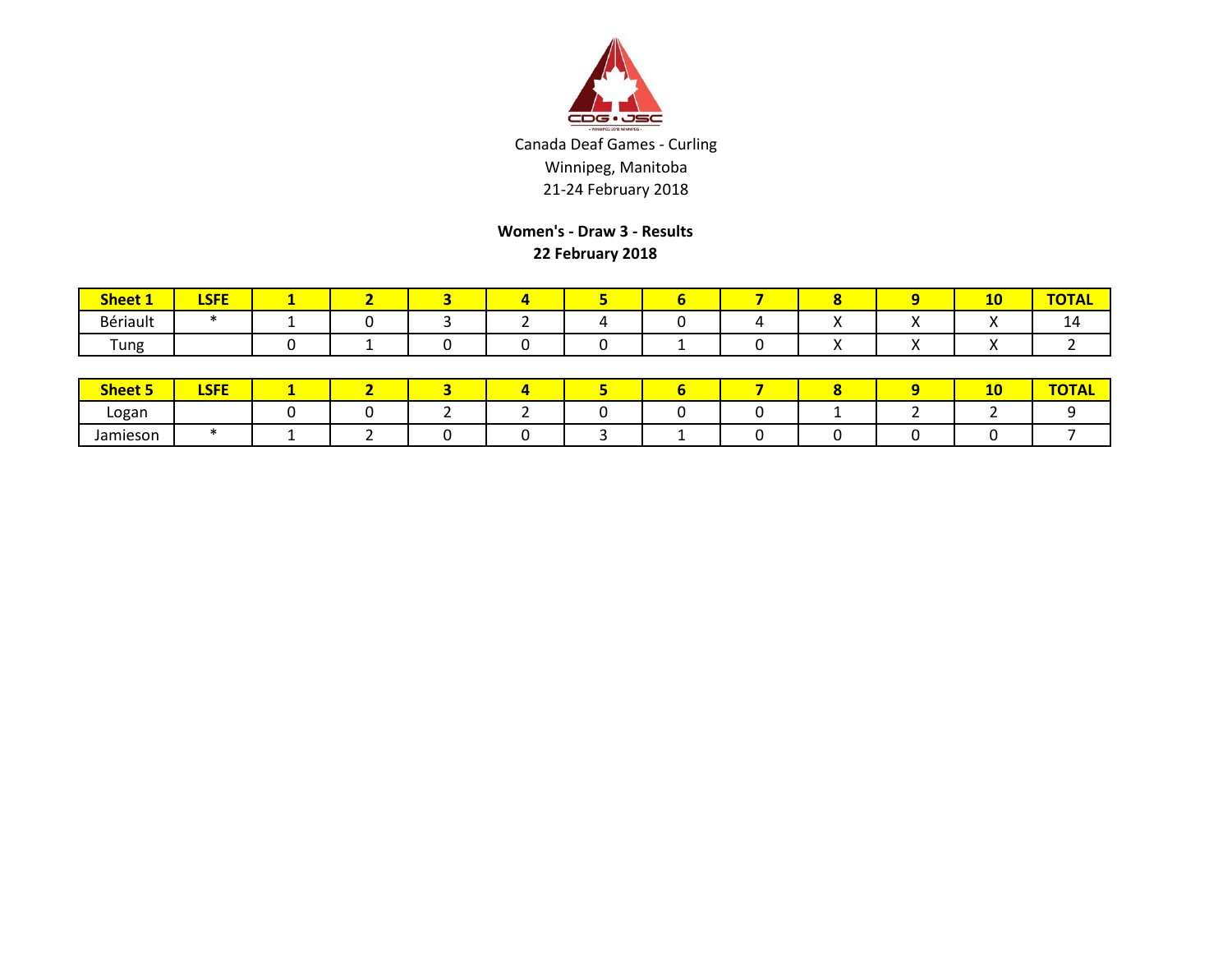

**Women's - Draw 3 - Results 22 February 2018**

| <b>Sheet</b> | I CEE<br>-- |  |  |  |  | л.<br>дv | --<br><u> тутина </u> |
|--------------|-------------|--|--|--|--|----------|-----------------------|
| Bériault     |             |  |  |  |  |          | 14                    |
| Tung         |             |  |  |  |  |          |                       |

| <b>Sheet 5</b> | <b>LSFE</b> |  |  |  |  | ЖV |  |
|----------------|-------------|--|--|--|--|----|--|
| Logan          |             |  |  |  |  |    |  |
| Jamieson       |             |  |  |  |  |    |  |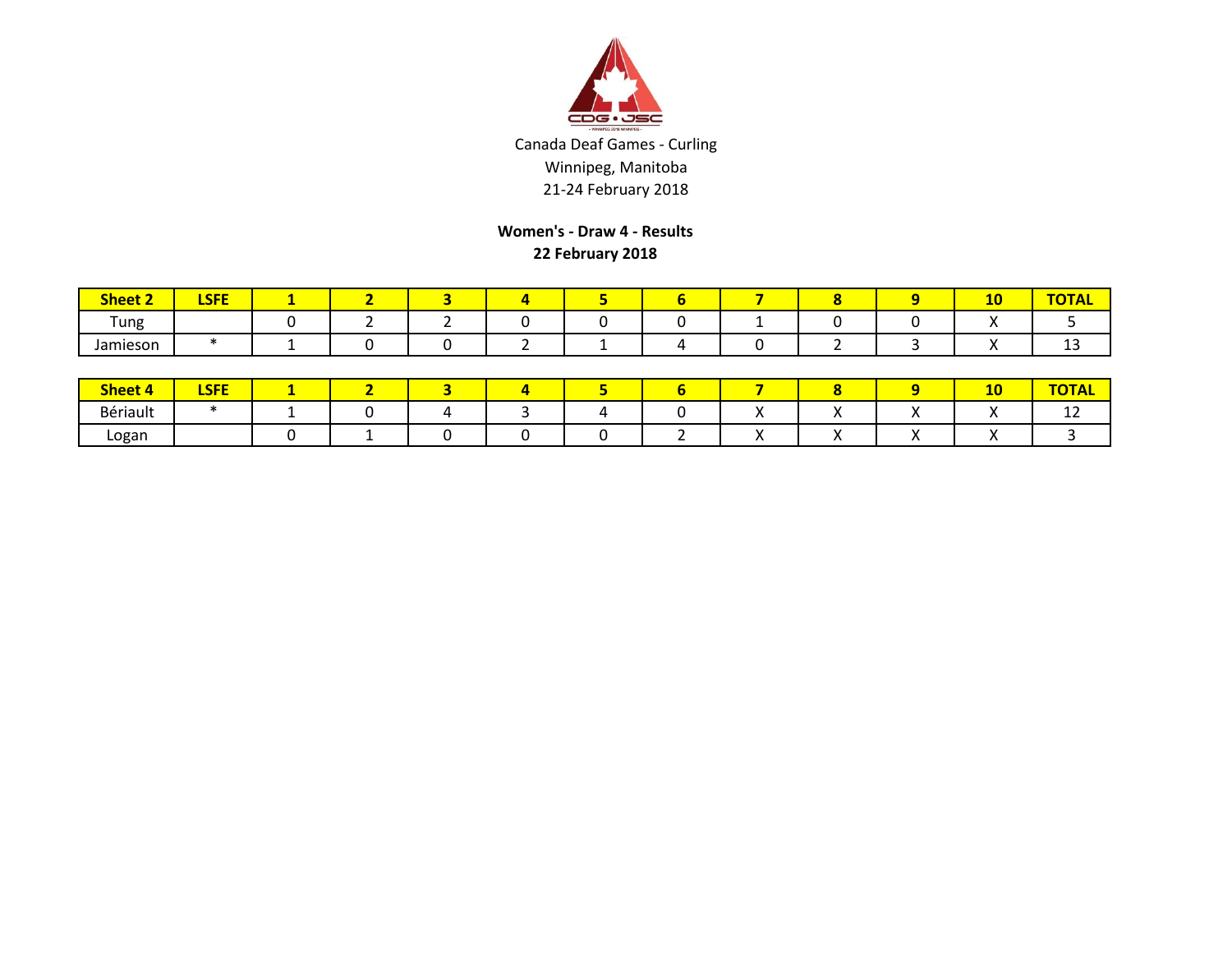

**Women's - Draw 4 - Results 22 February 2018**

| <b>Sheet 2</b>                   | $\sim$ $\sim$ $\sim$ $\sim$<br>LJFL |  |  |  |  | -- | <b>TOTAL</b> |
|----------------------------------|-------------------------------------|--|--|--|--|----|--------------|
| $\overline{\phantom{0}}$<br>Tung |                                     |  |  |  |  |    |              |
| Jamieson                         |                                     |  |  |  |  |    | ᅩ            |

| <b>Sheet 4</b> | <b>CEE</b><br>--<br>. . |  |  |  |  | . .<br>ᅩ | TATAT |
|----------------|-------------------------|--|--|--|--|----------|-------|
| Bériault       |                         |  |  |  |  |          | . .   |
| Logan          |                         |  |  |  |  |          |       |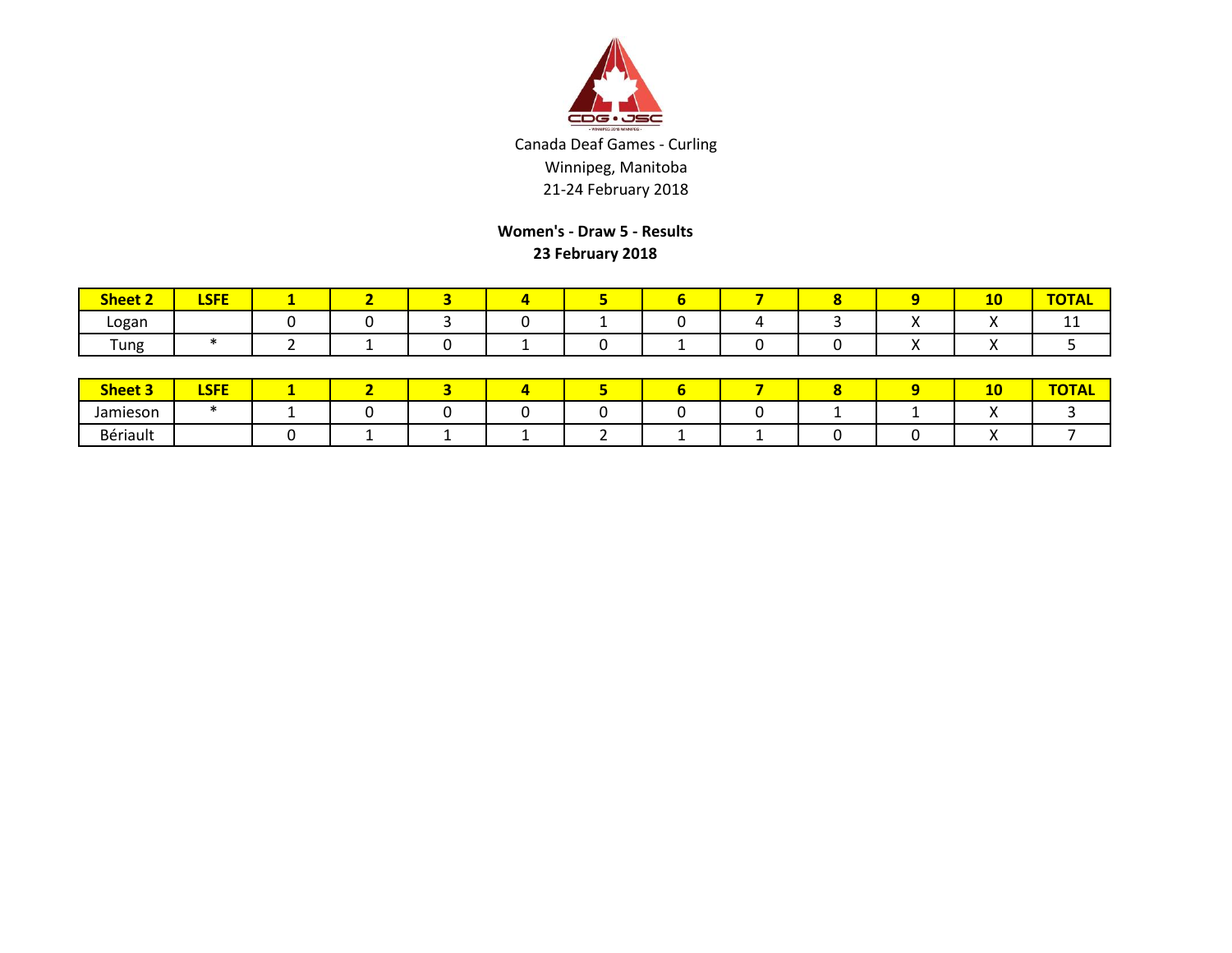

**Women's - Draw 5 - Results 23 February 2018**

| <b>Sheet 2</b> | <b>CEE</b><br><u>LJГE</u> |  |  |  |  | 4V | <b>TOTAL</b> |
|----------------|---------------------------|--|--|--|--|----|--------------|
| Logan          |                           |  |  |  |  | ,, | <b>TT</b>    |
| Tung           |                           |  |  |  |  | ,, |              |

| <b>Sheet 3</b> | <b>LSFE</b> |  |  |  |  | 10 | $T$ $T$<br>UIAL |
|----------------|-------------|--|--|--|--|----|-----------------|
| Jamieson       |             |  |  |  |  |    |                 |
| Bériault       |             |  |  |  |  |    |                 |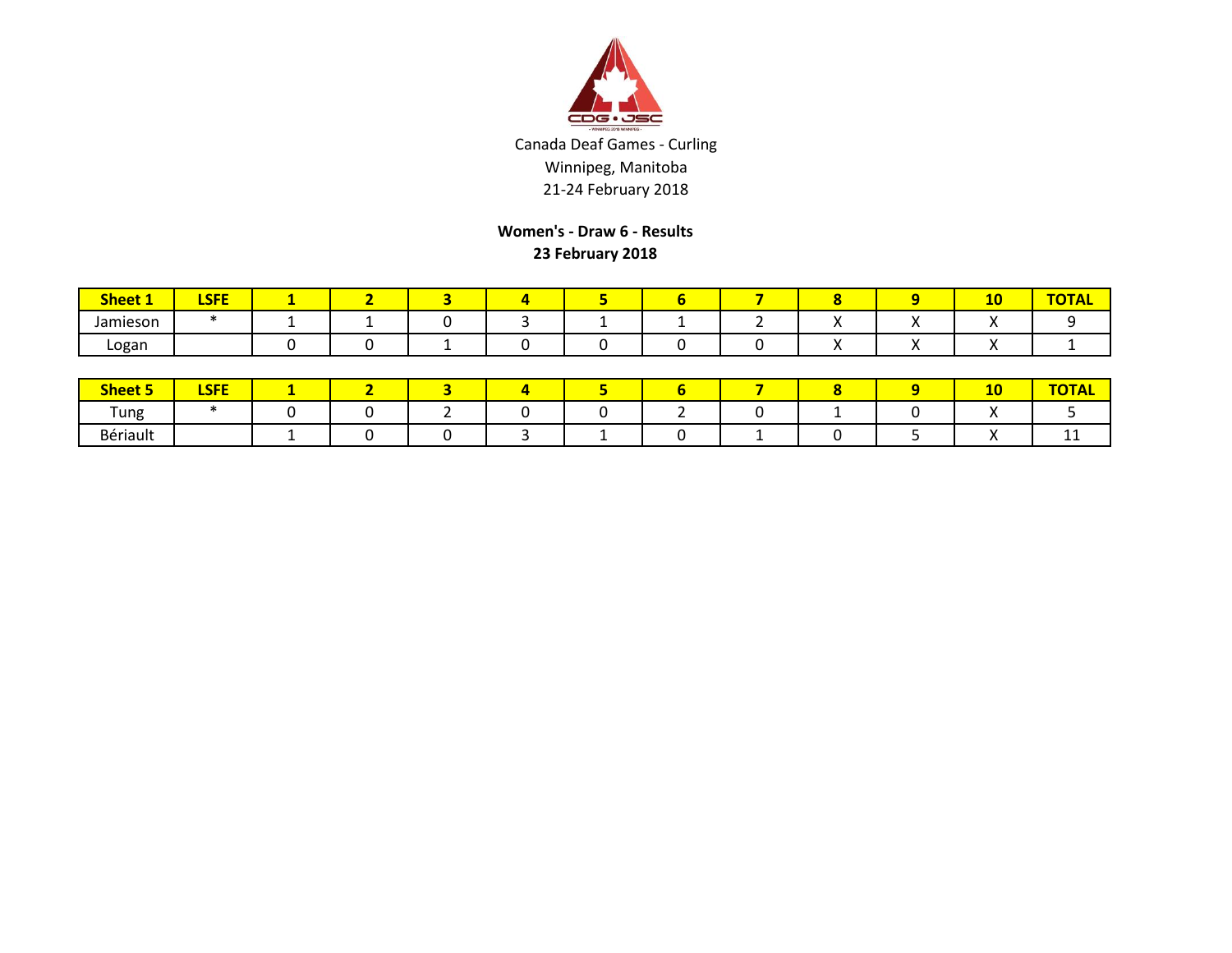

**Women's - Draw 6 - Results 23 February 2018**

| <b>Sheet 1</b> | I CEE<br><u>LJГE</u> |  |  |  |  | <b>. .</b><br>$-$ | "UIAL |
|----------------|----------------------|--|--|--|--|-------------------|-------|
| Jamieson       |                      |  |  |  |  |                   |       |
| Logan          |                      |  |  |  |  |                   |       |

| <b>Sheet 5</b>                   | <b>LSFE</b> |  |  |  |  | 10 | $-2 - 1$<br>$\overline{\phantom{a}}$ |
|----------------------------------|-------------|--|--|--|--|----|--------------------------------------|
| $\overline{\phantom{0}}$<br>Tung |             |  |  |  |  |    |                                      |
| Bériault                         |             |  |  |  |  |    | . .                                  |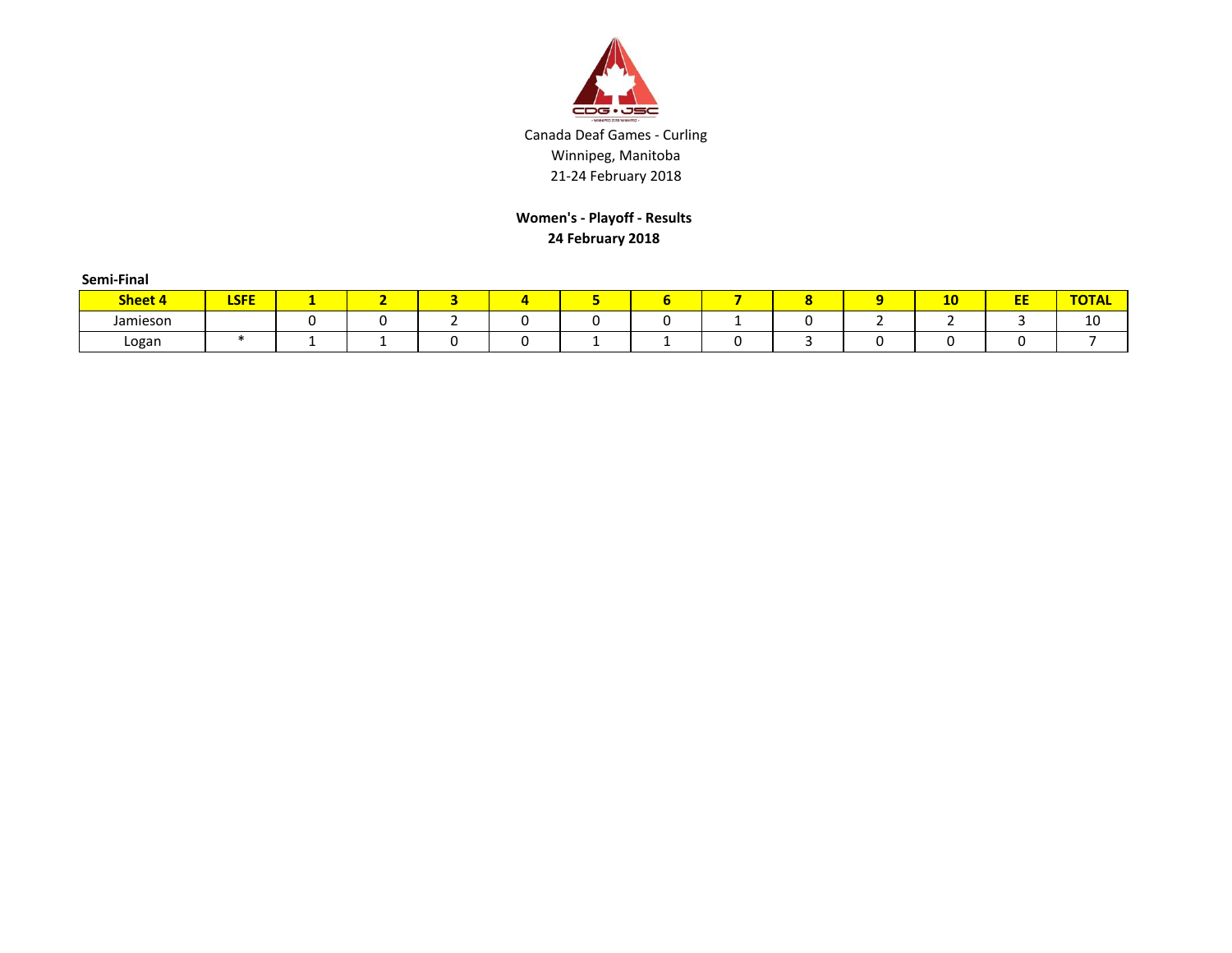

**Women's - Playoff - Results 24 February 2018**

| Semi-Final |             |                 |  |   |  |        |    |         |              |
|------------|-------------|-----------------|--|---|--|--------|----|---------|--------------|
| Sheet 4    | <b>LSFE</b> |                 |  | д |  | o<br>o | 10 | cс<br>ᄄ | <b>TOTAL</b> |
| Jamieson   |             |                 |  |   |  |        |    |         | 10           |
| Logan      |             | <u>. на три</u> |  |   |  |        |    |         |              |